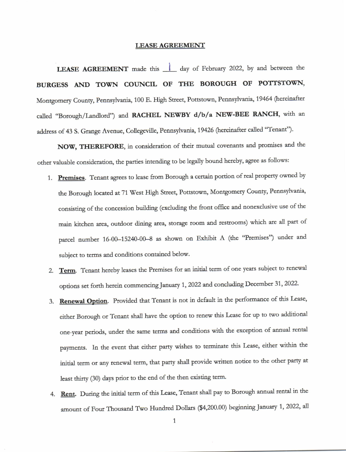## **LEASE AGREEMENT**

LEASE AGREEMENT made this <u>1</u> day of February 2022, by and between the BURGESS AND TOWN COUNCIL OF THE BOROUGH OF POTTSTOWN, Montgomery County, Pennsylvania, 100 E. High Street, Pottstown, Pennsylvania, 19464 (hereinafter called "Borough/Landlord") and RACHEL NEWBY d/b/a NEW-BEE RANCH, with an address of 43 S. Grange Avenue, Collegeville, Pennsylvania, 19426 (hereinafter called "Tenant").

NOW, THEREFORE, in consideration of their mutual covenants and promises and the other valuable consideration, the parties intending to be legally bound hereby, agree as follows:

- 1. Premises. Tenant agrees to lease from Borough a certain portion of real property owned by the Borough located at 71 West High Street, Pottstown, Montgomery County, Pennsylvania, consisting of the concession building (excluding the front office and nonexclusive use of the main kitchen area, outdoor dining area, storage room and restrooms) which are all part of parcel number 16-00--15240-00-8 as shown on Exhibit A (the "Premises") under and subject to terms and conditions contained below.
- 2. Term. Tenant hereby leases the Premises for an initial term of one years subject to renewal options set forth herein commencing January 1, 2022 and concluding December 31, 2022.
- 3. Renewal Option. Provided that Tenant is not in default in the performance of this Lease, either Borough or Tenant shall have the option to renew this Lease for up to two additional one-year periods, under the same terms and conditions with the exception of annual rental payments. In the event that either party wishes to terminate this Lease, either within the initial term or any renewal term, that party shall provide written notice to the other party at least thirty (30) days prior to the end of the then existing term.
- 4. Rent. During the initial term of this Lease, Tenant shall pay to Borough annual rental in the amount of Four Thousand Two Hundred Dollars (\$4,200.00) beginning January 1, 2022, all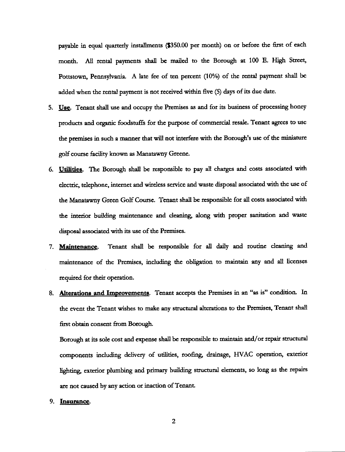payable in equal quarterly installments (\$350.00 per month) on or before the first of each month. All rental payments shall be mailed to the Borough at 100 E. High Street, Pottstown, Pennsylvania. A late fee of ten percent (10%) of the rental payment shall be added when the rental payment is not received within five (5) days of its due date.

- 5. Use. Tenant shall use and occupy the Premises as and for its business of processing honey products and organic foodstuffs for the purpose of commercial resale. Tenant agrees to use the premises in such a manner that will not interfere with the Borough's use of the miniature golf course facility known as Manatawny Greene.
- 6. Utilities. The Borough shall be responsible to pay all charges and costs associated with electric, telephone, internet and wireless service and waste disposal associated with the use of the Manatawny Green Golf Course. Tenant shall be responsible for all costs associated with the interior building maintenance and cleaning, along with proper sanitation and waste disposal associated with its use of the Premises.
- Tenant shall be responsible for all daily and routine cleaning and 7. Maintenance. maintenance of the Premises, including the obligation to maintain any and all licenses required for their operation.
- 8. Alterations and Improvements. Tenant accepts the Premises in an "as is" condition. In the event the Tenant wishes to make any structural alterations to the Premises, Tenant shall first obtain consent from Borough.

Borough at its sole cost and expense shall be responsible to maintain and/or repair structural components including delivery of utilities, roofing, drainage, HVAC operation, exterior lighting, exterior plumbing and primary building structural elements, so long as the repairs are not caused by any action or inaction of Tenant.

## 9. Insurance.

 $\overline{2}$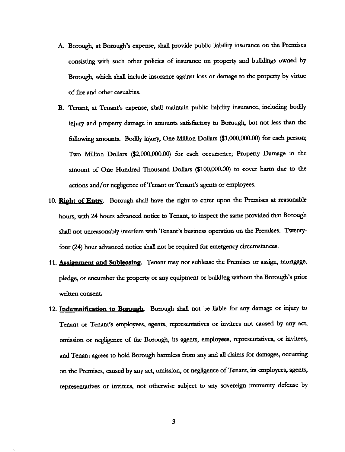- A. Borough, at Borough's expense, shall provide public liability insurance on the Premises consisting with such other policies of insurance on property and buildings owned by Borough, which shall include insurance against loss or damage to the property by virtue of fire and other casualties.
- B. Tenant, at Tenant's expense, shall maintain public liability insurance, including bodily injury and property damage in amounts satisfactory to Borough, but not less than the following amounts. Bodily injury, One Million Dollars (\$1,000,000.00) for each person; Two Million Dollars (\$2,000,000.00) for each occurrence; Property Damage in the amount of One Hundred Thousand Dollars (\$100,000.00) to cover harm due to the actions and/or negligence of Tenant or Tenant's agents or employees.
- 10. Right of Entry. Borough shall have the right to enter upon the Premises at reasonable hours, with 24 hours advanced notice to Tenant, to inspect the same provided that Borough shall not unreasonably interfere with Tenant's business operation on the Premises. Twentyfour (24) hour advanced notice shall not be required for emergency circumstances.
- 11. Assignment and Subleasing. Tenant may not sublease the Premises or assign, mortgage, pledge, or encumber the property or any equipment or building without the Borough's prior written consent.
- 12. Indemnification to Borough. Borough shall not be liable for any damage or injury to Tenant or Tenant's employees, agents, representatives or invitees not caused by any act, omission or negligence of the Borough, its agents, employees, representatives, or invitees, and Tenant agrees to hold Borough harmless from any and all claims for damages, occurring on the Premises, caused by any act, omission, or negligence of Tenant, its employees, agents, representatives or invitees, not otherwise subject to any sovereign immunity defense by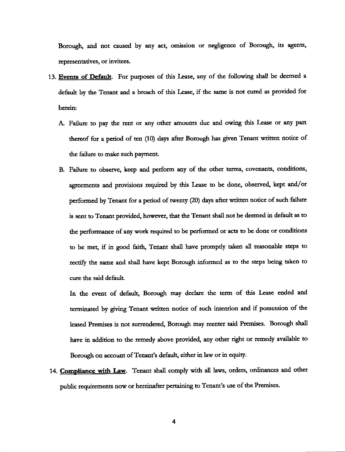Borough, and not caused by any act, omission or negligence of Borough, its agents, representatives, or invitees.

- 13. Events of Default. For purposes of this Lease, any of the following shall be deemed a default by the Tenant and a breach of this Lease, if the same is not cured as provided for herein:
	- A. Failure to pay the rent or any other amounts due and owing this Lease or any part thereof for a period of ten (10) days after Borough has given Tenant written notice of the failure to make such paymcnt
	- B. Failure to observe, keep and perform any of the other terms, covenants, conditions, agreements and provisions required by this Lease to be done, observed, kept and/or performed by Tenant for a period of twenty (20) days after written notice of such failure is sent to Tenant provided, however, that the Tenant shall not be deemed in default as to the performance of any work required to be performed or acts to be done or conditions to be met, if in good faith, Tenant shall have promptly taken all reasonable steps to rectify the same and shall have kept Borough informed as to the steps being taken to cure the said default.

In the event of default, Borough may declare the term of this Lease ended and terminated by giving Tenant written notice of such intention and if possession of the leased Premises is not surrendered, Borough may reenter said Premises. Borough shall have in addition to the remedy above provided, any other right or remedy available to Borough on account of Tenant's default, either in law or in equity.

14. Compliance with Law. Tenant shall comply with all laws, orders, ordinances and other public tequirements now ot hereinaftet pettaining to Tenant's use of the Premises.